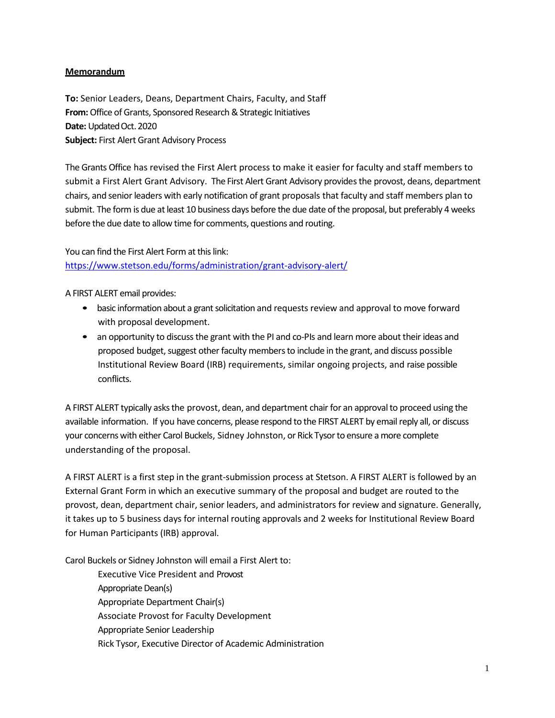## **Memorandum**

**To:** Senior Leaders, Deans, Department Chairs, Faculty, and Staff **From:** Office of Grants, Sponsored Research & Strategic Initiatives Date: Updated Oct. 2020 **Subject:** First Alert Grant Advisory Process

The Grants Office has revised the First Alert process to make it easier for faculty and staff members to submit a First Alert Grant Advisory. The First Alert Grant Advisory provides the provost, deans, department chairs, and senior leaders with early notification of grant proposals that faculty and staff members plan to submit. The form is due at least 10 business days before the due date of the proposal, but preferably 4 weeks before the due date to allow time for comments, questions and routing.

You can find the First Alert Form at this link: <https://www.stetson.edu/forms/administration/grant-advisory-alert/>

A FIRST ALERT email provides:

- basic information about a grant solicitation and requests review and approval to move forward with proposal development.
- an opportunity to discuss the grant with the PI and co-PIs and learn more about their ideas and proposed budget, suggest other faculty members to include in the grant, and discuss possible Institutional Review Board (IRB) requirements, similar ongoing projects, and raise possible conflicts.

A FIRST ALERT typically asks the provost, dean, and department chair for an approval to proceed using the available information. If you have concerns, please respond to the FIRST ALERT by email reply all, or discuss your concerns with either Carol Buckels, Sidney Johnston, or Rick Tysor to ensure a more complete understanding of the proposal.

A FIRST ALERT is a first step in the grant-submission process at Stetson. A FIRST ALERT is followed by an External Grant Form in which an executive summary of the proposal and budget are routed to the provost, dean, department chair, senior leaders, and administrators for review and signature. Generally, it takes up to 5 business days for internal routing approvals and 2 weeks for Institutional Review Board for Human Participants (IRB) approval.

Carol Buckels or Sidney Johnston will email a First Alert to:

Executive Vice President and Provost Appropriate Dean(s) Appropriate Department Chair(s) Associate Provost for Faculty Development Appropriate Senior Leadership Rick Tysor, Executive Director of Academic Administration